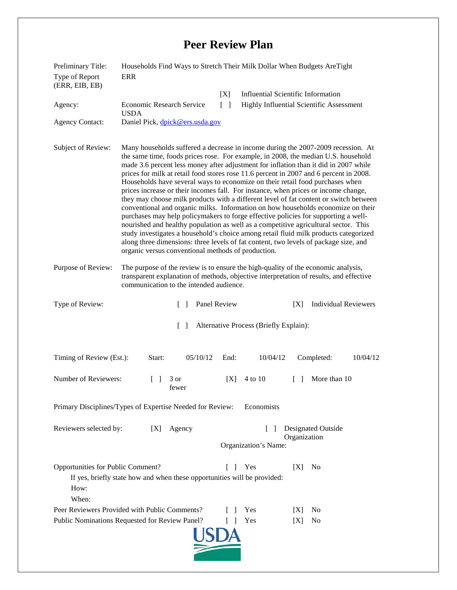## **Peer Review Plan**

| Preliminary Title:<br>Type of Report                                                                                                                                     | Households Find Ways to Stretch Their Milk Dollar When Budgets AreTight<br><b>ERR</b>                                                                                                                                                                                                                                                                                                                                                                                                                                                                                                                                                                                                                                                                                                                                                                                                                                                                                                                                                                                                                                          |
|--------------------------------------------------------------------------------------------------------------------------------------------------------------------------|--------------------------------------------------------------------------------------------------------------------------------------------------------------------------------------------------------------------------------------------------------------------------------------------------------------------------------------------------------------------------------------------------------------------------------------------------------------------------------------------------------------------------------------------------------------------------------------------------------------------------------------------------------------------------------------------------------------------------------------------------------------------------------------------------------------------------------------------------------------------------------------------------------------------------------------------------------------------------------------------------------------------------------------------------------------------------------------------------------------------------------|
| (ERR, EIB, EB)                                                                                                                                                           | <b>Influential Scientific Information</b><br>[X]                                                                                                                                                                                                                                                                                                                                                                                                                                                                                                                                                                                                                                                                                                                                                                                                                                                                                                                                                                                                                                                                               |
| Agency:                                                                                                                                                                  | Economic Research Service<br>$\Box$<br>Highly Influential Scientific Assessment                                                                                                                                                                                                                                                                                                                                                                                                                                                                                                                                                                                                                                                                                                                                                                                                                                                                                                                                                                                                                                                |
|                                                                                                                                                                          | <b>USDA</b>                                                                                                                                                                                                                                                                                                                                                                                                                                                                                                                                                                                                                                                                                                                                                                                                                                                                                                                                                                                                                                                                                                                    |
| <b>Agency Contact:</b>                                                                                                                                                   | Daniel Pick, dpick@ers.usda.gov                                                                                                                                                                                                                                                                                                                                                                                                                                                                                                                                                                                                                                                                                                                                                                                                                                                                                                                                                                                                                                                                                                |
|                                                                                                                                                                          |                                                                                                                                                                                                                                                                                                                                                                                                                                                                                                                                                                                                                                                                                                                                                                                                                                                                                                                                                                                                                                                                                                                                |
| Subject of Review:                                                                                                                                                       | Many households suffered a decrease in income during the 2007-2009 recession. At<br>the same time, foods prices rose. For example, in 2008, the median U.S. household<br>made 3.6 percent less money after adjustment for inflation than it did in 2007 while<br>prices for milk at retail food stores rose 11.6 percent in 2007 and 6 percent in 2008.<br>Households have several ways to economize on their retail food purchases when<br>prices increase or their incomes fall. For instance, when prices or income change,<br>they may choose milk products with a different level of fat content or switch between<br>conventional and organic milks. Information on how households economize on their<br>purchases may help policymakers to forge effective policies for supporting a well-<br>nourished and healthy population as well as a competitive agricultural sector. This<br>study investigates a household's choice among retail fluid milk products categorized<br>along three dimensions: three levels of fat content, two levels of package size, and<br>organic versus conventional methods of production. |
| Purpose of Review:                                                                                                                                                       | The purpose of the review is to ensure the high-quality of the economic analysis,<br>transparent explanation of methods, objective interpretation of results, and effective<br>communication to the intended audience.                                                                                                                                                                                                                                                                                                                                                                                                                                                                                                                                                                                                                                                                                                                                                                                                                                                                                                         |
| Type of Review:                                                                                                                                                          | Panel Review<br><b>Individual Reviewers</b><br>$\lceil$<br>[X]                                                                                                                                                                                                                                                                                                                                                                                                                                                                                                                                                                                                                                                                                                                                                                                                                                                                                                                                                                                                                                                                 |
|                                                                                                                                                                          | Alternative Process (Briefly Explain):<br>$\Box$                                                                                                                                                                                                                                                                                                                                                                                                                                                                                                                                                                                                                                                                                                                                                                                                                                                                                                                                                                                                                                                                               |
| Timing of Review (Est.):                                                                                                                                                 | 05/10/12<br>Start:<br>End:<br>10/04/12<br>Completed:<br>10/04/12                                                                                                                                                                                                                                                                                                                                                                                                                                                                                                                                                                                                                                                                                                                                                                                                                                                                                                                                                                                                                                                               |
| Number of Reviewers:                                                                                                                                                     | More than 10<br>4 to 10<br>3 or<br>[X]<br>$\Box$<br>fewer                                                                                                                                                                                                                                                                                                                                                                                                                                                                                                                                                                                                                                                                                                                                                                                                                                                                                                                                                                                                                                                                      |
| Primary Disciplines/Types of Expertise Needed for Review:<br>Economists                                                                                                  |                                                                                                                                                                                                                                                                                                                                                                                                                                                                                                                                                                                                                                                                                                                                                                                                                                                                                                                                                                                                                                                                                                                                |
| Reviewers selected by:                                                                                                                                                   | Designated Outside<br>Agency<br>[X]<br>Organization<br>Organization's Name:                                                                                                                                                                                                                                                                                                                                                                                                                                                                                                                                                                                                                                                                                                                                                                                                                                                                                                                                                                                                                                                    |
| Opportunities for Public Comment?<br>Yes<br>N <sub>0</sub><br>$\Box$<br>[X]<br>If yes, briefly state how and when these opportunities will be provided:<br>How:<br>When: |                                                                                                                                                                                                                                                                                                                                                                                                                                                                                                                                                                                                                                                                                                                                                                                                                                                                                                                                                                                                                                                                                                                                |
|                                                                                                                                                                          | Peer Reviewers Provided with Public Comments?<br>Yes<br>[X]<br>N <sub>0</sub>                                                                                                                                                                                                                                                                                                                                                                                                                                                                                                                                                                                                                                                                                                                                                                                                                                                                                                                                                                                                                                                  |
|                                                                                                                                                                          | Yes<br>Public Nominations Requested for Review Panel?<br>N <sub>0</sub><br>[X]                                                                                                                                                                                                                                                                                                                                                                                                                                                                                                                                                                                                                                                                                                                                                                                                                                                                                                                                                                                                                                                 |
|                                                                                                                                                                          |                                                                                                                                                                                                                                                                                                                                                                                                                                                                                                                                                                                                                                                                                                                                                                                                                                                                                                                                                                                                                                                                                                                                |